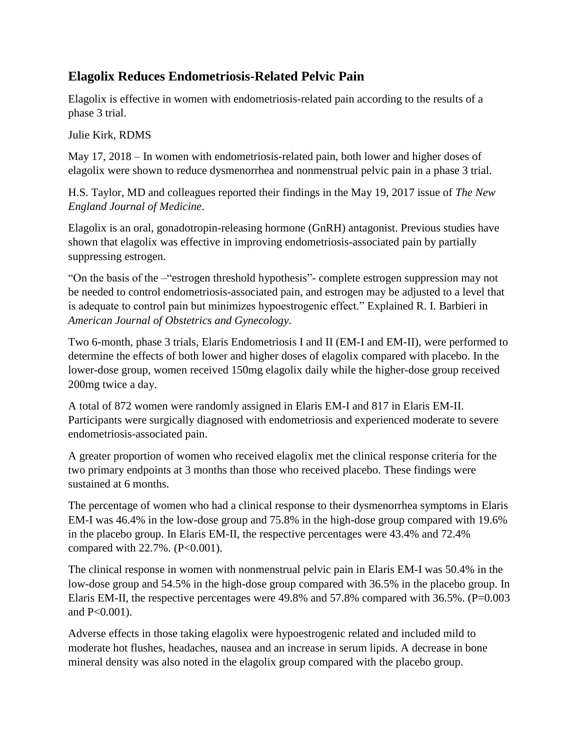## **Elagolix Reduces Endometriosis-Related Pelvic Pain**

Elagolix is effective in women with endometriosis-related pain according to the results of a phase 3 trial.

Julie Kirk, RDMS

May 17, 2018 – In women with endometriosis-related pain, both lower and higher doses of elagolix were shown to reduce dysmenorrhea and nonmenstrual pelvic pain in a phase 3 trial.

H.S. Taylor, MD and colleagues reported their findings in the May 19, 2017 issue of *The New England Journal of Medicine*.

Elagolix is an oral, gonadotropin-releasing hormone (GnRH) antagonist. Previous studies have shown that elagolix was effective in improving endometriosis-associated pain by partially suppressing estrogen.

"On the basis of the –"estrogen threshold hypothesis"- complete estrogen suppression may not be needed to control endometriosis-associated pain, and estrogen may be adjusted to a level that is adequate to control pain but minimizes hypoestrogenic effect." Explained R. I. Barbieri in *American Journal of Obstetrics and Gynecology*.

Two 6-month, phase 3 trials, Elaris Endometriosis I and II (EM-I and EM-II), were performed to determine the effects of both lower and higher doses of elagolix compared with placebo. In the lower-dose group, women received 150mg elagolix daily while the higher-dose group received 200mg twice a day.

A total of 872 women were randomly assigned in Elaris EM-I and 817 in Elaris EM-II. Participants were surgically diagnosed with endometriosis and experienced moderate to severe endometriosis-associated pain.

A greater proportion of women who received elagolix met the clinical response criteria for the two primary endpoints at 3 months than those who received placebo. These findings were sustained at 6 months.

The percentage of women who had a clinical response to their dysmenorrhea symptoms in Elaris EM-I was 46.4% in the low-dose group and 75.8% in the high-dose group compared with 19.6% in the placebo group. In Elaris EM-II, the respective percentages were 43.4% and 72.4% compared with  $22.7\%$ . (P<0.001).

The clinical response in women with nonmenstrual pelvic pain in Elaris EM-I was 50.4% in the low-dose group and 54.5% in the high-dose group compared with 36.5% in the placebo group. In Elaris EM-II, the respective percentages were 49.8% and 57.8% compared with 36.5%. (P=0.003 and P<0.001).

Adverse effects in those taking elagolix were hypoestrogenic related and included mild to moderate hot flushes, headaches, nausea and an increase in serum lipids. A decrease in bone mineral density was also noted in the elagolix group compared with the placebo group.